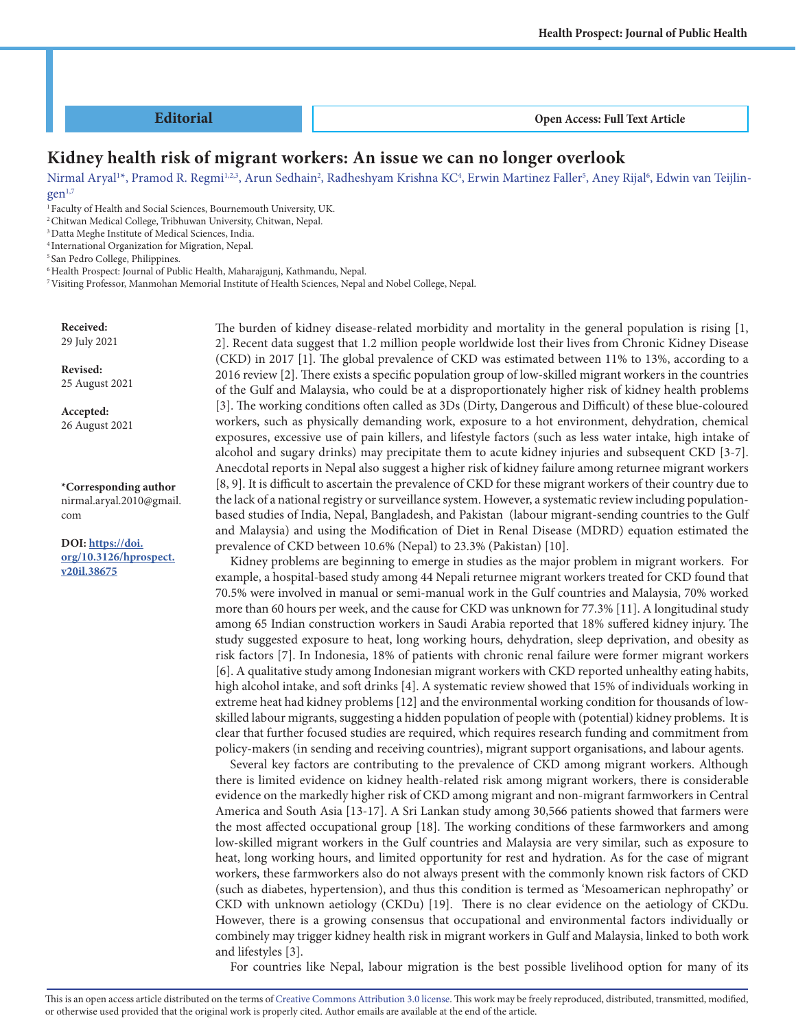#### **Editorial**

 **Open Access: Full Text Article**

## **Kidney health risk of migrant workers: An issue we can no longer overlook**

Nirmal Aryal'\*, Pramod R. Regmi'<sup>1,2,3</sup>, Arun Sedhain<sup>2</sup>, Radheshyam Krishna KC<sup>4</sup>, Erwin Martinez Faller<sup>5</sup>, Aney Rijal<sup>6</sup>, Edwin van Teijlin $gen<sup>1,7</sup>$ 

<sup>1</sup> Faculty of Health and Social Sciences, Bournemouth University, UK.

2 Chitwan Medical College, Tribhuwan University, Chitwan, Nepal.

3 Datta Meghe Institute of Medical Sciences, India.

4 International Organization for Migration, Nepal.

5 San Pedro College, Philippines.

6 Health Prospect: Journal of Public Health, Maharajgunj, Kathmandu, Nepal.

7 Visiting Professor, Manmohan Memorial Institute of Health Sciences, Nepal and Nobel College, Nepal.

**Received:** 29 July 2021

**Revised:**

25 August 2021

**Accepted:** 26 August 2021

**\*Corresponding author** nirmal.aryal.2010@gmail. com

**DOI: https://doi. org/10.3126/hprospect. v20il.38675**

The burden of kidney disease-related morbidity and mortality in the general population is rising [1, 2]. Recent data suggest that 1.2 million people worldwide lost their lives from Chronic Kidney Disease (CKD) in 2017 [1]. The global prevalence of CKD was estimated between 11% to 13%, according to a 2016 review [2]. There exists a specific population group of low-skilled migrant workers in the countries of the Gulf and Malaysia, who could be at a disproportionately higher risk of kidney health problems [3]. The working conditions often called as 3Ds (Dirty, Dangerous and Difficult) of these blue-coloured workers, such as physically demanding work, exposure to a hot environment, dehydration, chemical exposures, excessive use of pain killers, and lifestyle factors (such as less water intake, high intake of alcohol and sugary drinks) may precipitate them to acute kidney injuries and subsequent CKD [3-7]. Anecdotal reports in Nepal also suggest a higher risk of kidney failure among returnee migrant workers [8, 9]. It is difficult to ascertain the prevalence of CKD for these migrant workers of their country due to the lack of a national registry or surveillance system. However, a systematic review including populationbased studies of India, Nepal, Bangladesh, and Pakistan (labour migrant-sending countries to the Gulf and Malaysia) and using the Modification of Diet in Renal Disease (MDRD) equation estimated the prevalence of CKD between 10.6% (Nepal) to 23.3% (Pakistan) [10].

Kidney problems are beginning to emerge in studies as the major problem in migrant workers. For example, a hospital-based study among 44 Nepali returnee migrant workers treated for CKD found that 70.5% were involved in manual or semi-manual work in the Gulf countries and Malaysia, 70% worked more than 60 hours per week, and the cause for CKD was unknown for 77.3% [11]. A longitudinal study among 65 Indian construction workers in Saudi Arabia reported that 18% suffered kidney injury. The study suggested exposure to heat, long working hours, dehydration, sleep deprivation, and obesity as risk factors [7]. In Indonesia, 18% of patients with chronic renal failure were former migrant workers [6]. A qualitative study among Indonesian migrant workers with CKD reported unhealthy eating habits, high alcohol intake, and soft drinks [4]. A systematic review showed that 15% of individuals working in extreme heat had kidney problems [12] and the environmental working condition for thousands of lowskilled labour migrants, suggesting a hidden population of people with (potential) kidney problems. It is clear that further focused studies are required, which requires research funding and commitment from policy-makers (in sending and receiving countries), migrant support organisations, and labour agents.

Several key factors are contributing to the prevalence of CKD among migrant workers. Although there is limited evidence on kidney health-related risk among migrant workers, there is considerable evidence on the markedly higher risk of CKD among migrant and non-migrant farmworkers in Central America and South Asia [13-17]. A Sri Lankan study among 30,566 patients showed that farmers were the most affected occupational group [18]. The working conditions of these farmworkers and among low-skilled migrant workers in the Gulf countries and Malaysia are very similar, such as exposure to heat, long working hours, and limited opportunity for rest and hydration. As for the case of migrant workers, these farmworkers also do not always present with the commonly known risk factors of CKD (such as diabetes, hypertension), and thus this condition is termed as 'Mesoamerican nephropathy' or CKD with unknown aetiology (CKDu) [19]. There is no clear evidence on the aetiology of CKDu. However, there is a growing consensus that occupational and environmental factors individually or combinely may trigger kidney health risk in migrant workers in Gulf and Malaysia, linked to both work and lifestyles [3].

For countries like Nepal, labour migration is the best possible livelihood option for many of its

This is an open access article distributed on the terms of Creative Commons Attribution 3.0 license. This work may be freely reproduced, distributed, transmitted, modified, or otherwise used provided that the original work is properly cited. Author emails are available at the end of the article.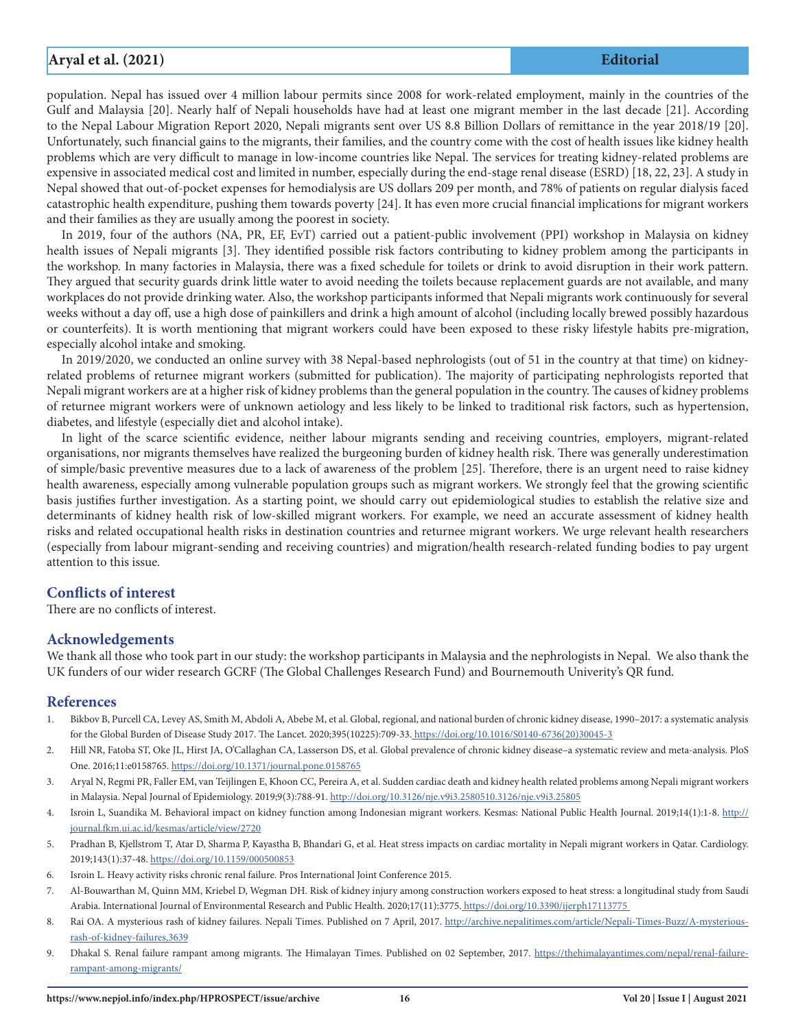# **Aryal et al. (2021) Editorial**

population. Nepal has issued over 4 million labour permits since 2008 for work-related employment, mainly in the countries of the Gulf and Malaysia [20]. Nearly half of Nepali households have had at least one migrant member in the last decade [21]. According to the Nepal Labour Migration Report 2020, Nepali migrants sent over US 8.8 Billion Dollars of remittance in the year 2018/19 [20]. Unfortunately, such financial gains to the migrants, their families, and the country come with the cost of health issues like kidney health problems which are very difficult to manage in low-income countries like Nepal. The services for treating kidney-related problems are expensive in associated medical cost and limited in number, especially during the end-stage renal disease (ESRD) [18, 22, 23]. A study in Nepal showed that out-of-pocket expenses for hemodialysis are US dollars 209 per month, and 78% of patients on regular dialysis faced catastrophic health expenditure, pushing them towards poverty [24]. It has even more crucial financial implications for migrant workers and their families as they are usually among the poorest in society.

In 2019, four of the authors (NA, PR, EF, EvT) carried out a patient-public involvement (PPI) workshop in Malaysia on kidney health issues of Nepali migrants [3]. They identified possible risk factors contributing to kidney problem among the participants in the workshop. In many factories in Malaysia, there was a fixed schedule for toilets or drink to avoid disruption in their work pattern. They argued that security guards drink little water to avoid needing the toilets because replacement guards are not available, and many workplaces do not provide drinking water. Also, the workshop participants informed that Nepali migrants work continuously for several weeks without a day off, use a high dose of painkillers and drink a high amount of alcohol (including locally brewed possibly hazardous or counterfeits). It is worth mentioning that migrant workers could have been exposed to these risky lifestyle habits pre-migration, especially alcohol intake and smoking.

In 2019/2020, we conducted an online survey with 38 Nepal-based nephrologists (out of 51 in the country at that time) on kidneyrelated problems of returnee migrant workers (submitted for publication). The majority of participating nephrologists reported that Nepali migrant workers are at a higher risk of kidney problems than the general population in the country. The causes of kidney problems of returnee migrant workers were of unknown aetiology and less likely to be linked to traditional risk factors, such as hypertension, diabetes, and lifestyle (especially diet and alcohol intake).

In light of the scarce scientific evidence, neither labour migrants sending and receiving countries, employers, migrant-related organisations, nor migrants themselves have realized the burgeoning burden of kidney health risk. There was generally underestimation of simple/basic preventive measures due to a lack of awareness of the problem [25]. Therefore, there is an urgent need to raise kidney health awareness, especially among vulnerable population groups such as migrant workers. We strongly feel that the growing scientific basis justifies further investigation. As a starting point, we should carry out epidemiological studies to establish the relative size and determinants of kidney health risk of low-skilled migrant workers. For example, we need an accurate assessment of kidney health risks and related occupational health risks in destination countries and returnee migrant workers. We urge relevant health researchers (especially from labour migrant-sending and receiving countries) and migration/health research-related funding bodies to pay urgent attention to this issue.

## **Conflicts of interest**

There are no conflicts of interest.

### **Acknowledgements**

We thank all those who took part in our study: the workshop participants in Malaysia and the nephrologists in Nepal. We also thank the UK funders of our wider research GCRF (The Global Challenges Research Fund) and Bournemouth Univerity's QR fund.

### **References**

- 1. Bikbov B, Purcell CA, Levey AS, Smith M, Abdoli A, Abebe M, et al. Global, regional, and national burden of chronic kidney disease, 1990–2017: a systematic analysis for the Global Burden of Disease Study 2017. The Lancet. 2020;395(10225):709-33. https://doi.org/10.1016/S0140-6736(20)30045-3
- 2. Hill NR, Fatoba ST, Oke JL, Hirst JA, O'Callaghan CA, Lasserson DS, et al. Global prevalence of chronic kidney disease–a systematic review and meta-analysis. PloS One. 2016;11:e0158765. https://doi.org/10.1371/journal.pone.0158765
- 3. Aryal N, Regmi PR, Faller EM, van Teijlingen E, Khoon CC, Pereira A, et al. Sudden cardiac death and kidney health related problems among Nepali migrant workers in Malaysia. Nepal Journal of Epidemiology. 2019;9(3):788-91. http://doi.org/10.3126/nje.v9i3.2580510.3126/nje.v9i3.25805
- 4. Isroin L, Suandika M. Behavioral impact on kidney function among Indonesian migrant workers. Kesmas: National Public Health Journal. 2019;14(1):1-8. http:// journal.fkm.ui.ac.id/kesmas/article/view/2720
- 5. Pradhan B, Kjellstrom T, Atar D, Sharma P, Kayastha B, Bhandari G, et al. Heat stress impacts on cardiac mortality in Nepali migrant workers in Qatar. Cardiology. 2019;143(1):37-48. https://doi.org/10.1159/000500853
- 6. Isroin L. Heavy activity risks chronic renal failure. Pros International Joint Conference 2015.
- 7. Al-Bouwarthan M, Quinn MM, Kriebel D, Wegman DH. Risk of kidney injury among construction workers exposed to heat stress: a longitudinal study from Saudi Arabia. International Journal of Environmental Research and Public Health. 2020;17(11):3775. https://doi.org/10.3390/ijerph17113775
- 8. Rai OA. A mysterious rash of kidney failures. Nepali Times. Published on 7 April, 2017. http://archive.nepalitimes.com/article/Nepali-Times-Buzz/A-mysteriousrash-of-kidney-failures,3639
- 9. Dhakal S. Renal failure rampant among migrants. The Himalayan Times. Published on 02 September, 2017. https://thehimalayantimes.com/nepal/renal-failurerampant-among-migrants/